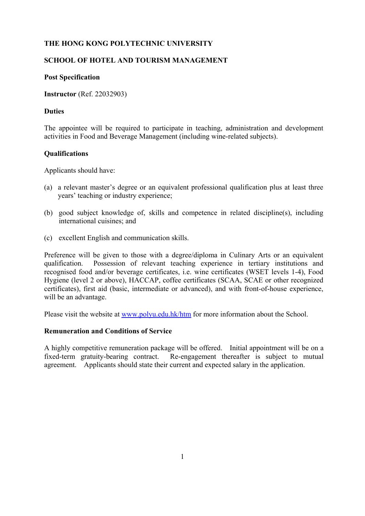## **THE HONG KONG POLYTECHNIC UNIVERSITY**

# **SCHOOL OF HOTEL AND TOURISM MANAGEMENT**

## **Post Specification**

**Instructor** (Ref. 22032903)

#### **Duties**

The appointee will be required to participate in teaching, administration and development activities in Food and Beverage Management (including wine-related subjects).

## **Qualifications**

Applicants should have:

- (a) a relevant master's degree or an equivalent professional qualification plus at least three years' teaching or industry experience;
- (b) good subject knowledge of, skills and competence in related discipline(s), including international cuisines; and
- (c) excellent English and communication skills.

Preference will be given to those with a degree/diploma in Culinary Arts or an equivalent qualification. Possession of relevant teaching experience in tertiary institutions and recognised food and/or beverage certificates, i.e. wine certificates (WSET levels 1-4), Food Hygiene (level 2 or above), HACCAP, coffee certificates (SCAA, SCAE or other recognized certificates), first aid (basic, intermediate or advanced), and with front-of-house experience, will be an advantage.

Please visit the website at www.polyu.edu.hk/htm for more information about the School.

## **Remuneration and Conditions of Service**

A highly competitive remuneration package will be offered. Initial appointment will be on a fixed-term gratuity-bearing contract. Re-engagement thereafter is subject to mutual agreement. Applicants should state their current and expected salary in the application.